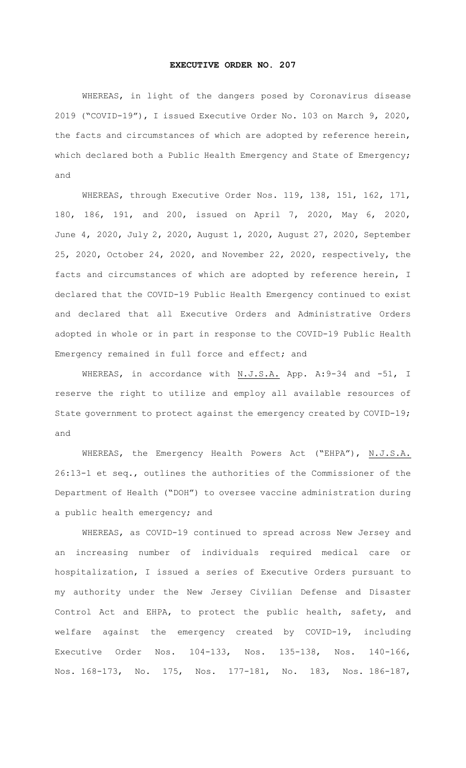## **EXECUTIVE ORDER NO. 207**

WHEREAS, in light of the dangers posed by Coronavirus disease 2019 ("COVID-19"), I issued Executive Order No. 103 on March 9, 2020, the facts and circumstances of which are adopted by reference herein, which declared both a Public Health Emergency and State of Emergency; and

WHEREAS, through Executive Order Nos. 119, 138, 151, 162, 171, 180, 186, 191, and 200, issued on April 7, 2020, May 6, 2020, June 4, 2020, July 2, 2020, August 1, 2020, August 27, 2020, September 25, 2020, October 24, 2020, and November 22, 2020, respectively, the facts and circumstances of which are adopted by reference herein, I declared that the COVID-19 Public Health Emergency continued to exist and declared that all Executive Orders and Administrative Orders adopted in whole or in part in response to the COVID-19 Public Health Emergency remained in full force and effect; and

WHEREAS, in accordance with N.J.S.A. App. A:9-34 and -51, I reserve the right to utilize and employ all available resources of State government to protect against the emergency created by COVID-19; and

WHEREAS, the Emergency Health Powers Act ("EHPA"), N.J.S.A. 26:13-1 et seq., outlines the authorities of the Commissioner of the Department of Health ("DOH") to oversee vaccine administration during a public health emergency; and

WHEREAS, as COVID-19 continued to spread across New Jersey and an increasing number of individuals required medical care or hospitalization, I issued a series of Executive Orders pursuant to my authority under the New Jersey Civilian Defense and Disaster Control Act and EHPA, to protect the public health, safety, and welfare against the emergency created by COVID-19, including Executive Order Nos. 104-133, Nos. 135-138, Nos. 140-166, Nos. 168-173, No. 175, Nos. 177-181, No. 183, Nos. 186-187,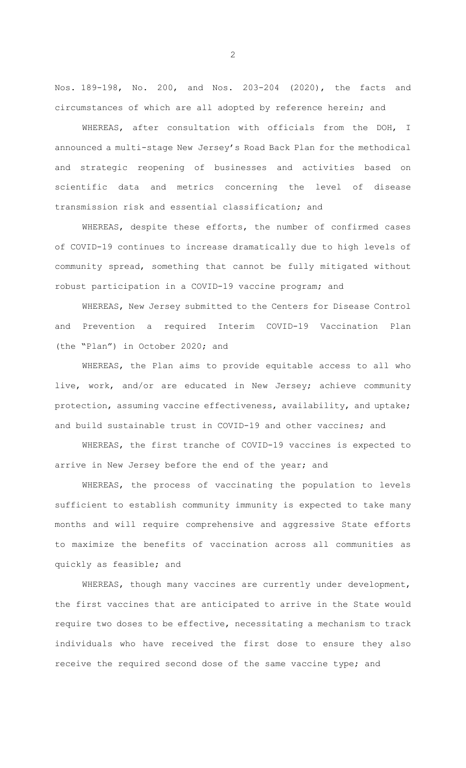Nos. 189-198, No. 200, and Nos. 203-204 (2020), the facts and circumstances of which are all adopted by reference herein; and

WHEREAS, after consultation with officials from the DOH, I announced a multi-stage New Jersey's Road Back Plan for the methodical and strategic reopening of businesses and activities based on scientific data and metrics concerning the level of disease transmission risk and essential classification; and

WHEREAS, despite these efforts, the number of confirmed cases of COVID-19 continues to increase dramatically due to high levels of community spread, something that cannot be fully mitigated without robust participation in a COVID-19 vaccine program; and

WHEREAS, New Jersey submitted to the Centers for Disease Control and Prevention a required Interim COVID-19 Vaccination Plan (the "Plan") in October 2020; and

WHEREAS, the Plan aims to provide equitable access to all who live, work, and/or are educated in New Jersey; achieve community protection, assuming vaccine effectiveness, availability, and uptake; and build sustainable trust in COVID-19 and other vaccines; and

WHEREAS, the first tranche of COVID-19 vaccines is expected to arrive in New Jersey before the end of the year; and

WHEREAS, the process of vaccinating the population to levels sufficient to establish community immunity is expected to take many months and will require comprehensive and aggressive State efforts to maximize the benefits of vaccination across all communities as quickly as feasible; and

WHEREAS, though many vaccines are currently under development, the first vaccines that are anticipated to arrive in the State would require two doses to be effective, necessitating a mechanism to track individuals who have received the first dose to ensure they also receive the required second dose of the same vaccine type; and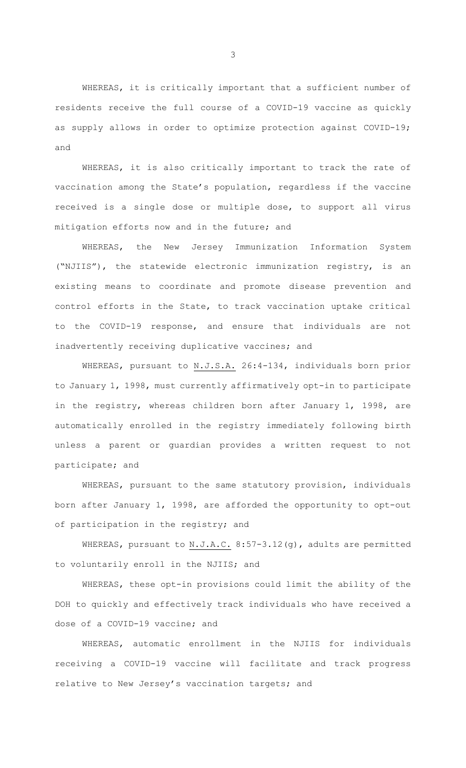WHEREAS, it is critically important that a sufficient number of residents receive the full course of a COVID-19 vaccine as quickly as supply allows in order to optimize protection against COVID-19; and

WHEREAS, it is also critically important to track the rate of vaccination among the State's population, regardless if the vaccine received is a single dose or multiple dose, to support all virus mitigation efforts now and in the future; and

WHEREAS, the New Jersey Immunization Information System ("NJIIS"), the statewide electronic immunization registry, is an existing means to coordinate and promote disease prevention and control efforts in the State, to track vaccination uptake critical to the COVID-19 response, and ensure that individuals are not inadvertently receiving duplicative vaccines; and

WHEREAS, pursuant to N.J.S.A. 26:4-134, individuals born prior to January 1, 1998, must currently affirmatively opt-in to participate in the registry, whereas children born after January 1, 1998, are automatically enrolled in the registry immediately following birth unless a parent or guardian provides a written request to not participate; and

WHEREAS, pursuant to the same statutory provision, individuals born after January 1, 1998, are afforded the opportunity to opt-out of participation in the registry; and

WHEREAS, pursuant to N.J.A.C. 8:57-3.12(g), adults are permitted to voluntarily enroll in the NJIIS; and

WHEREAS, these opt-in provisions could limit the ability of the DOH to quickly and effectively track individuals who have received a dose of a COVID-19 vaccine; and

WHEREAS, automatic enrollment in the NJIIS for individuals receiving a COVID-19 vaccine will facilitate and track progress relative to New Jersey's vaccination targets; and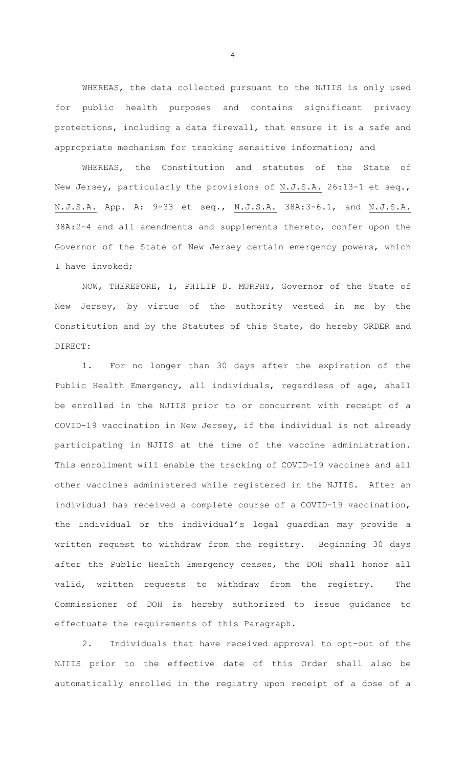WHEREAS, the data collected pursuant to the NJIIS is only used for public health purposes and contains significant privacy protections, including a data firewall, that ensure it is a safe and appropriate mechanism for tracking sensitive information; and

WHEREAS, the Constitution and statutes of the State of New Jersey, particularly the provisions of N.J.S.A. 26:13-1 et seq., N.J.S.A. App. A: 9-33 et seq., N.J.S.A. 38A:3-6.1, and N.J.S.A. 38A:2-4 and all amendments and supplements thereto, confer upon the Governor of the State of New Jersey certain emergency powers, which I have invoked;

NOW, THEREFORE, I, PHILIP D. MURPHY, Governor of the State of New Jersey, by virtue of the authority vested in me by the Constitution and by the Statutes of this State, do hereby ORDER and DIRECT:

1. For no longer than 30 days after the expiration of the Public Health Emergency, all individuals, regardless of age, shall be enrolled in the NJIIS prior to or concurrent with receipt of a COVID-19 vaccination in New Jersey, if the individual is not already participating in NJIIS at the time of the vaccine administration. This enrollment will enable the tracking of COVID-19 vaccines and all other vaccines administered while registered in the NJIIS. After an individual has received a complete course of a COVID-19 vaccination, the individual or the individual's legal guardian may provide a written request to withdraw from the registry. Beginning 30 days after the Public Health Emergency ceases, the DOH shall honor all valid, written requests to withdraw from the registry. The Commissioner of DOH is hereby authorized to issue guidance to effectuate the requirements of this Paragraph.

2. Individuals that have received approval to opt-out of the NJIIS prior to the effective date of this Order shall also be automatically enrolled in the registry upon receipt of a dose of a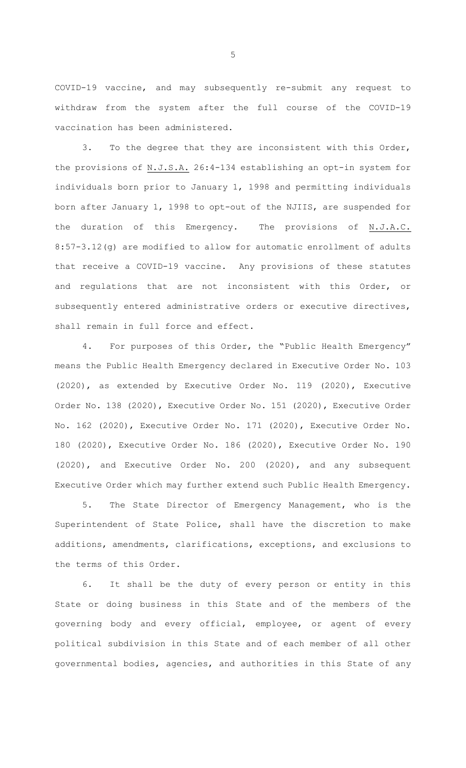COVID-19 vaccine, and may subsequently re-submit any request to withdraw from the system after the full course of the COVID-19 vaccination has been administered.

3. To the degree that they are inconsistent with this Order, the provisions of N.J.S.A. 26:4-134 establishing an opt-in system for individuals born prior to January 1, 1998 and permitting individuals born after January 1, 1998 to opt-out of the NJIIS, are suspended for the duration of this Emergency. The provisions of N.J.A.C. 8:57-3.12(g) are modified to allow for automatic enrollment of adults that receive a COVID-19 vaccine. Any provisions of these statutes and regulations that are not inconsistent with this Order, or subsequently entered administrative orders or executive directives, shall remain in full force and effect.

4. For purposes of this Order, the "Public Health Emergency" means the Public Health Emergency declared in Executive Order No. 103 (2020), as extended by Executive Order No. 119 (2020), Executive Order No. 138 (2020), Executive Order No. 151 (2020), Executive Order No. 162 (2020), Executive Order No. 171 (2020), Executive Order No. 180 (2020), Executive Order No. 186 (2020), Executive Order No. 190 (2020), and Executive Order No. 200 (2020), and any subsequent Executive Order which may further extend such Public Health Emergency.

5. The State Director of Emergency Management, who is the Superintendent of State Police, shall have the discretion to make additions, amendments, clarifications, exceptions, and exclusions to the terms of this Order.

6. It shall be the duty of every person or entity in this State or doing business in this State and of the members of the governing body and every official, employee, or agent of every political subdivision in this State and of each member of all other governmental bodies, agencies, and authorities in this State of any